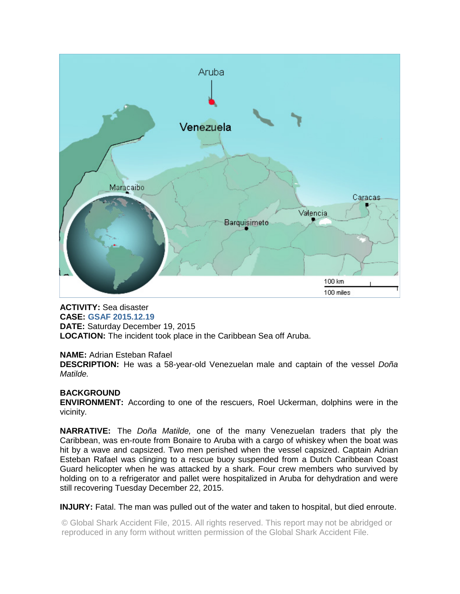

# **ACTIVITY:** Sea disaster

**CASE: GSAF 2015.12.19 DATE:** Saturday December 19, 2015 **LOCATION:** The incident took place in the Caribbean Sea off Aruba.

## **NAME:** Adrian Esteban Rafael

**DESCRIPTION:** He was a 58-year-old Venezuelan male and captain of the vessel *Doña Matilde.* 

## **BACKGROUND**

**ENVIRONMENT:** According to one of the rescuers, Roel Uckerman, dolphins were in the vicinity.

**NARRATIVE:** The *Doña Matilde,* one of the many Venezuelan traders that ply the Caribbean, was en-route from Bonaire to Aruba with a cargo of whiskey when the boat was hit by a wave and capsized. Two men perished when the vessel capsized. Captain Adrian Esteban Rafael was clinging to a rescue buoy suspended from a Dutch Caribbean Coast Guard helicopter when he was attacked by a shark. Four crew members who survived by holding on to a refrigerator and pallet were hospitalized in Aruba for dehydration and were still recovering Tuesday December 22, 2015.

## **INJURY:** Fatal. The man was pulled out of the water and taken to hospital, but died enroute.

© Global Shark Accident File, 2015. All rights reserved. This report may not be abridged or reproduced in any form without written permission of the Global Shark Accident File.